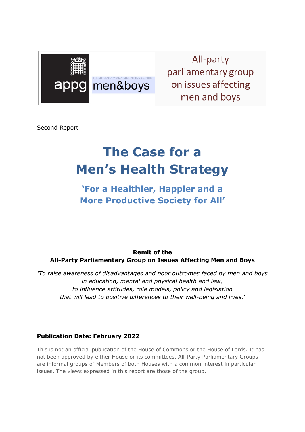

All-party parliamentary group on issues affecting men and boys

Second Report

# **The Case for a Men's Health Strategy**

**'For a Healthier, Happier and a More Productive Society for All'**

**Remit of the All-Party Parliamentary Group on Issues Affecting Men and Boys**

*'To raise awareness of disadvantages and poor outcomes faced by men and boys in education, mental and physical health and law; to influence attitudes, role models, policy and legislation that will lead to positive differences to their well-being and lives.'*

#### **Publication Date: February 2022**

This is not an official publication of the House of Commons or the House of Lords. It has not been approved by either House or its committees. All-Party Parliamentary Groups are informal groups of Members of both Houses with a common interest in particular issues. The views expressed in this report are those of the group.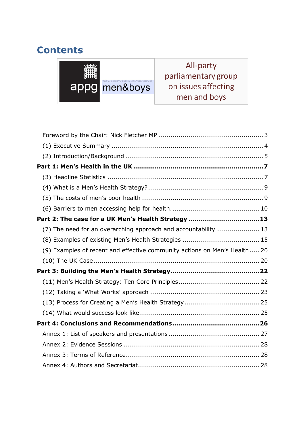# **Contents**



All-party parliamentary group on issues affecting men and boys

| Part 2: The case for a UK Men's Health Strategy 13 |                                                                           |  |  |
|----------------------------------------------------|---------------------------------------------------------------------------|--|--|
|                                                    | (7) The need for an overarching approach and accountability  13           |  |  |
|                                                    |                                                                           |  |  |
|                                                    | (9) Examples of recent and effective community actions on Men's Health 20 |  |  |
|                                                    |                                                                           |  |  |
|                                                    |                                                                           |  |  |
|                                                    |                                                                           |  |  |
|                                                    |                                                                           |  |  |
|                                                    |                                                                           |  |  |
|                                                    |                                                                           |  |  |
|                                                    |                                                                           |  |  |
|                                                    |                                                                           |  |  |
|                                                    |                                                                           |  |  |
|                                                    |                                                                           |  |  |
|                                                    |                                                                           |  |  |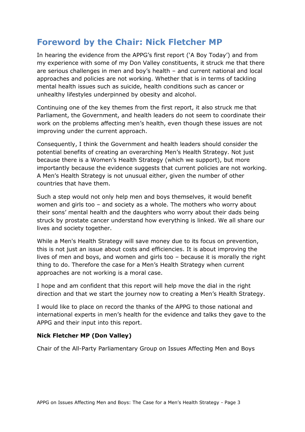### <span id="page-2-0"></span>**Foreword by the Chair: Nick Fletcher MP**

In hearing the evidence from the APPG's first report ('A Boy Today') and from my experience with some of my Don Valley constituents, it struck me that there are serious challenges in men and boy's health – and current national and local approaches and policies are not working. Whether that is in terms of tackling mental health issues such as suicide, health conditions such as cancer or unhealthy lifestyles underpinned by obesity and alcohol.

Continuing one of the key themes from the first report, it also struck me that Parliament, the Government, and health leaders do not seem to coordinate their work on the problems affecting men's health, even though these issues are not improving under the current approach.

Consequently, I think the Government and health leaders should consider the potential benefits of creating an overarching Men's Health Strategy. Not just because there is a Women's Health Strategy (which we support), but more importantly because the evidence suggests that current policies are not working. A Men's Health Strategy is not unusual either, given the number of other countries that have them.

Such a step would not only help men and boys themselves, it would benefit women and girls too – and society as a whole. The mothers who worry about their sons' mental health and the daughters who worry about their dads being struck by prostate cancer understand how everything is linked. We all share our lives and society together.

While a Men's Health Strategy will save money due to its focus on prevention, this is not just an issue about costs and efficiencies. It is about improving the lives of men and boys, and women and girls too – because it is morally the right thing to do. Therefore the case for a Men's Health Strategy when current approaches are not working is a moral case.

I hope and am confident that this report will help move the dial in the right direction and that we start the journey now to creating a Men's Health Strategy.

I would like to place on record the thanks of the APPG to those national and international experts in men's health for the evidence and talks they gave to the APPG and their input into this report.

#### **Nick Fletcher MP (Don Valley)**

Chair of the All-Party Parliamentary Group on Issues Affecting Men and Boys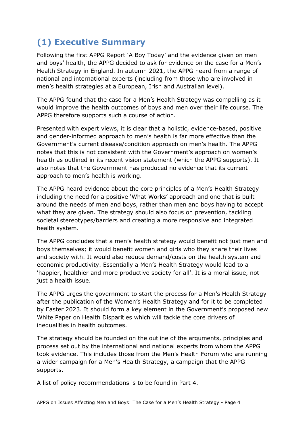# <span id="page-3-0"></span>**(1) Executive Summary**

Following the first APPG Report 'A Boy Today' and the evidence given on men and boys' health, the APPG decided to ask for evidence on the case for a Men's Health Strategy in England. In autumn 2021, the APPG heard from a range of national and international experts (including from those who are involved in men's health strategies at a European, Irish and Australian level).

The APPG found that the case for a Men's Health Strategy was compelling as it would improve the health outcomes of boys and men over their life course. The APPG therefore supports such a course of action.

Presented with expert views, it is clear that a holistic, evidence-based, positive and gender-informed approach to men's health is far more effective than the Government's current disease/condition approach on men's health. The APPG notes that this is not consistent with the Government's approach on women's health as outlined in its recent vision statement (which the APPG supports). It also notes that the Government has produced no evidence that its current approach to men's health is working.

The APPG heard evidence about the core principles of a Men's Health Strategy including the need for a positive 'What Works' approach and one that is built around the needs of men and boys, rather than men and boys having to accept what they are given. The strategy should also focus on prevention, tackling societal stereotypes/barriers and creating a more responsive and integrated health system.

The APPG concludes that a men's health strategy would benefit not just men and boys themselves; it would benefit women and girls who they share their lives and society with. It would also reduce demand/costs on the health system and economic productivity. Essentially a Men's Health Strategy would lead to a 'happier, healthier and more productive society for all'. It is a moral issue, not just a health issue.

The APPG urges the government to start the process for a Men's Health Strategy after the publication of the Women's Health Strategy and for it to be completed by Easter 2023. It should form a key element in the Government's proposed new White Paper on Health Disparities which will tackle the core drivers of inequalities in health outcomes.

The strategy should be founded on the outline of the arguments, principles and process set out by the international and national experts from whom the APPG took evidence. This includes those from the Men's Health Forum who are running a wider campaign for a Men's Health Strategy, a campaign that the APPG supports.

A list of policy recommendations is to be found in Part 4.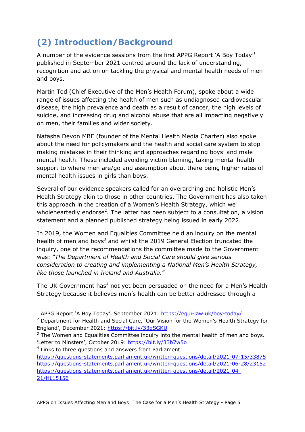# <span id="page-4-0"></span>**(2) Introduction/Background**

A number of the evidence sessions from the first APPG Report `A Boy Today<sup>,1</sup> published in September 2021 centred around the lack of understanding, recognition and action on tackling the physical and mental health needs of men and boys.

Martin Tod (Chief Executive of the Men's Health Forum), spoke about a wide range of issues affecting the health of men such as undiagnosed cardiovascular disease, the high prevalence and death as a result of cancer, the high levels of suicide, and increasing drug and alcohol abuse that are all impacting negatively on men, their families and wider society.

Natasha Devon MBE (founder of the Mental Health Media Charter) also spoke about the need for policymakers and the health and social care system to stop making mistakes in their thinking and approaches regarding boys' and male mental health. These included avoiding victim blaming, taking mental health support to where men are/go and assumption about there being higher rates of mental health issues in girls than boys.

Several of our evidence speakers called for an overarching and holistic Men's Health Strategy akin to those in other countries. The Government has also taken this approach in the creation of a Women's Health Strategy, which we wholeheartedly endorse<sup>2</sup>. The latter has been subject to a consultation, a vision statement and a planned published strategy being issued in early 2022.

In 2019, the Women and Equalities Committee held an inquiry on the mental health of men and boys<sup>3</sup> and whilst the 2019 General Election truncated the inquiry, one of the recommendations the committee made to the Government was: *"The Department of Health and Social Care should give serious consideration to creating and implementing a National Men's Health Strategy, like those launched in Ireland and Australia.*"

The UK Government has<sup>4</sup> not yet been persuaded on the need for a Men's Health Strategy because it believes men's health can be better addressed through a

 $3$  The Women and Equalities Committee inquiry into the mental health of men and boys. 'Letter to Minsters', October 2019:<https://bit.ly/33b7w5o>

<sup>4</sup> Links to three questions and answers from Parliament:

-

[https://questions-statements.parliament.uk/written-questions/detail/2021-07-15/33875](https://questions-statements.parliament.uk/written-questions/detail/2021-07-15/33875%20/)  <https://questions-statements.parliament.uk/written-questions/detail/2021-06-28/23152> [https://questions-statements.parliament.uk/written-questions/detail/2021-04-](https://questions-statements.parliament.uk/written-questions/detail/2021-04-21/HL15156) [21/HL15156](https://questions-statements.parliament.uk/written-questions/detail/2021-04-21/HL15156)

<sup>&</sup>lt;sup>1</sup> APPG Report 'A Boy Today', September 2021:<https://equi-law.uk/boy-today/>

<sup>&</sup>lt;sup>2</sup> Department for Health and Social Care, 'Our Vision for the Women's Health Strategy for England', December 2021:<https://bit.ly/33gSGKU>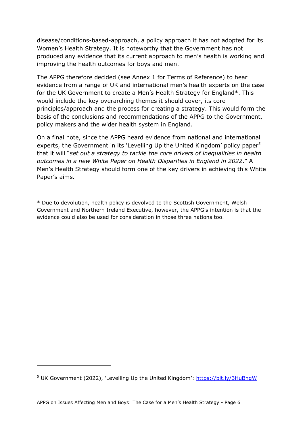disease/conditions-based-approach, a policy approach it has not adopted for its Women's Health Strategy. It is noteworthy that the Government has not produced any evidence that its current approach to men's health is working and improving the health outcomes for boys and men.

The APPG therefore decided (see Annex 1 for Terms of Reference) to hear evidence from a range of UK and international men's health experts on the case for the UK Government to create a Men's Health Strategy for England\*. This would include the key overarching themes it should cover, its core principles/approach and the process for creating a strategy. This would form the basis of the conclusions and recommendations of the APPG to the Government, policy makers and the wider health system in England.

On a final note, since the APPG heard evidence from national and international experts, the Government in its 'Levelling Up the United Kingdom' policy paper<sup>5</sup> that it will "*set out a strategy to tackle the core drivers of inequalities in health outcomes in a new White Paper on Health Disparities in England in 2022*." A Men's Health Strategy should form one of the key drivers in achieving this White Paper's aims.

\* Due to devolution, health policy is devolved to the Scottish Government, Welsh Government and Northern Ireland Executive, however, the APPG's intention is that the evidence could also be used for consideration in those three nations too.

-

<sup>&</sup>lt;sup>5</sup> UK Government (2022), 'Levelling Up the United Kingdom':<https://bit.ly/3HuBhgW>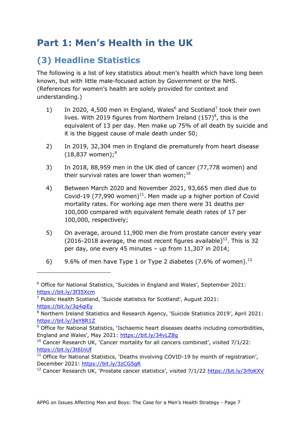# <span id="page-6-0"></span>**Part 1: Men's Health in the UK**

# <span id="page-6-1"></span>**(3) Headline Statistics**

-

The following is a list of key statistics about men's health which have long been known, but with little male-focused action by Government or the NHS. (References for women's health are solely provided for context and understanding.)

- 1) In 2020, 4,500 men in England, Wales $6$  and Scotland<sup>7</sup> took their own lives. With 2019 figures from Northern Ireland  $(157)^8$ , this is the equivalent of 13 per day. Men make up 75% of all death by suicide and it is the biggest cause of male death under 50;
- 2) In 2019, 32,304 men in England die prematurely from heart disease  $(18,837 \text{ women})$ ;<sup>9</sup>
- 3) In 2018, 88,959 men in the UK died of cancer (77,778 women) and their survival rates are lower than women;<sup>10</sup>
- 4) Between March 2020 and November 2021, 93,665 men died due to Covid-19 (77,990 women)<sup>11</sup>. Men made up a higher portion of Covid mortality rates. For working age men there were 31 deaths per 100,000 compared with equivalent female death rates of 17 per 100,000, respectively;
- 5) On average, around 11,900 men die from prostate cancer every year (2016-2018 average, the most recent figures available)<sup>12</sup>. This is 32 per day, one every 45 minutes – up from 11,307 in 2014;
- 6) 9.6% of men have Type 1 or Type 2 diabetes (7.6% of women).<sup>13</sup>

<sup>&</sup>lt;sup>6</sup> Office for National Statistics, 'Suicides in England and Wales', September 2021: <https://bit.ly/3f35Xcm>

 $<sup>7</sup>$  Public Health Scotland, 'Suicide statistics for Scotland', August 2021:</sup> <https://bit.ly/3q4qiEy>

<sup>8</sup> Northern Ireland Statistics and Research Agency, 'Suicide Statistics 2019', April 2021: <https://bit.ly/3eY8R1Z>

 $9$  Office for National Statistics, 'Ischaemic heart diseases deaths including comorbidities, England and Wales', May 2021: <https://bit.ly/34vLZ8g>

 $10$  Cancer Research UK, 'Cancer mortality for all cancers combined', visited 7/1/22: <https://bit.ly/3t6InUf>

<sup>&</sup>lt;sup>11</sup> Office for National Statistics, 'Deaths involving COVID-19 by month of registration', December 2021:<https://bit.ly/3zCG5gR>

<sup>&</sup>lt;sup>12</sup> Cancer Research UK, 'Prostate cancer statistics', visited 7/1/22<https://bit.ly/3rfoKXV>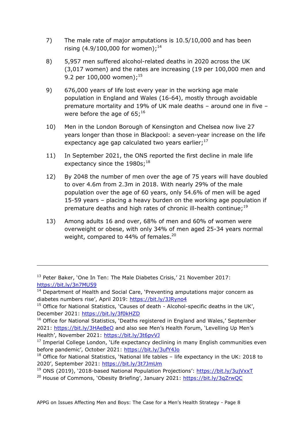- 7) The male rate of major amputations is 10.5/10,000 and has been rising  $(4.9/100,000$  for women);<sup>14</sup>
- 8) 5,957 men suffered alcohol-related deaths in 2020 across the UK (3,017 women) and the rates are increasing (19 per 100,000 men and 9.2 per 100,000 women);<sup>15</sup>
- 9) 676,000 years of life lost every year in the working age male population in England and Wales (16-64), mostly through avoidable premature mortality and 19% of UK male deaths – around one in five – were before the age of 65;<sup>16</sup>
- 10) Men in the London Borough of Kensington and Chelsea now live 27 years longer than those in Blackpool: a seven-year increase on the life expectancy age gap calculated two years earlier;<sup>17</sup>
- 11) In September 2021, the ONS reported the first decline in male life expectancy since the  $1980$ s;<sup>18</sup>
- 12) By 2048 the number of men over the age of 75 years will have doubled to over 4.6m from 2.3m in 2018. With nearly 29% of the male population over the age of 60 years, only 54.6% of men will be aged 15-59 years – placing a heavy burden on the working age population if premature deaths and high rates of chronic ill-health continue;<sup>19</sup>
- 13) Among adults 16 and over, 68% of men and 60% of women were overweight or obese, with only 34% of men aged 25-34 years normal weight, compared to 44% of females.<sup>20</sup>

-

<sup>20</sup> House of Commons, 'Obesity Briefing', January 2021: <https://bit.ly/3qZrwQC>

<sup>&</sup>lt;sup>13</sup> Peter Baker, 'One In Ten: The Male Diabetes Crisis,' 21 November 2017: <https://bit.ly/3n7MU59>

 $14$  Department of Health and Social Care, 'Preventing amputations major concern as diabetes numbers rise', April 2019: <https://bit.ly/3JRyno4>

<sup>&</sup>lt;sup>15</sup> Office for National Statistics, 'Causes of death - Alcohol-specific deaths in the UK', December 2021:<https://bit.ly/3f0kHZD>

<sup>&</sup>lt;sup>16</sup> Office for National Statistics, 'Deaths registered in England and Wales,' September 2021:<https://bit.ly/3HAeBeO> and also see Men's Health Forum, 'Levelling Up Men's Health', November 2021:<https://bit.ly/3t6pvVJ>

 $17$  Imperial College London, 'Life expectancy declining in many English communities even before pandemic', October 2021:<https://bit.ly/3ufY4Jo>

 $18$  Office for National Statistics, 'National life tables – life expectancy in the UK: 2018 to 2020', September 2021: <https://bit.ly/3t7JmUm>

<sup>19</sup> ONS (2019), '2018-based National Population Projections': <https://bit.ly/3ujVxxT>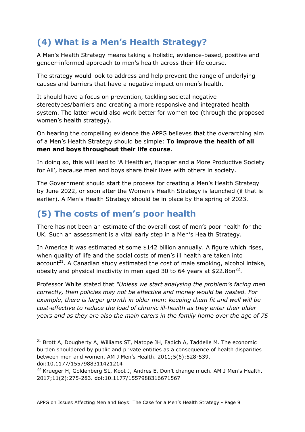# <span id="page-8-0"></span>**(4) What is a Men's Health Strategy?**

A Men's Health Strategy means taking a holistic, evidence-based, positive and gender-informed approach to men's health across their life course.

The strategy would look to address and help prevent the range of underlying causes and barriers that have a negative impact on men's health.

It should have a focus on prevention, tackling societal negative stereotypes/barriers and creating a more responsive and integrated health system. The latter would also work better for women too (through the proposed women's health strategy).

On hearing the compelling evidence the APPG believes that the overarching aim of a Men's Health Strategy should be simple: **To improve the health of all men and boys throughout their life course**.

In doing so, this will lead to 'A Healthier, Happier and a More Productive Society for All', because men and boys share their lives with others in society.

The Government should start the process for creating a Men's Health Strategy by June 2022, or soon after the Women's Health Strategy is launched (if that is earlier). A Men's Health Strategy should be in place by the spring of 2023.

# <span id="page-8-1"></span>**(5) The costs of men's poor health**

-

There has not been an estimate of the overall cost of men's poor health for the UK. Such an assessment is a vital early step in a Men's Health Strategy.

In America it was estimated at some \$142 billion annually. A figure which rises, when quality of life and the social costs of men's ill health are taken into account<sup>21</sup>. A Canadian study estimated the cost of male smoking, alcohol intake, obesity and physical inactivity in men aged 30 to 64 years at \$22.8bn<sup>22</sup>.

Professor White stated that *"Unless we start analysing the problem's facing men correctly, then policies may not be effective and money would be wasted. For example, there is larger growth in older men: keeping them fit and well will be cost-effective to reduce the load of chronic ill-health as they enter their older years and as they are also the main carers in the family home over the age of 75* 

```
22 Krueger H, Goldenberg SL, Koot J, Andres E. Don't change much. AM J Men's Health.
2017;11(2):275-283. doi:10.1177/1557988316671567
```
 $21$  Brott A, Dougherty A, Williams ST, Matope JH, Fadich A, Taddelle M. The economic burden shouldered by public and private entities as a consequence of health disparities between men and women. AM J Men's Health. 2011;5(6):528-539. doi:10.1177/1557988311421214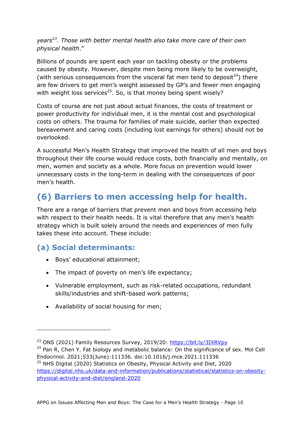*years<sup>23</sup>. Those with better mental health also take more care of their own physical health*."

Billions of pounds are spent each year on tackling obesity or the problems caused by obesity. However, despite men being more likely to be overweight, (with serious consequences from the visceral fat men tend to deposit<sup>24</sup>) there are few drivers to get men's weight assessed by GP's and fewer men engaging with weight loss services<sup>25</sup>. So, is that money being spent wisely?

Costs of course are not just about actual finances, the costs of treatment or power productivity for individual men, it is the mental cost and psychological costs on others. The trauma for families of male suicide, earlier than expected bereavement and caring costs (including lost earnings for others) should not be overlooked.

A successful Men's Health Strategy that improved the health of all men and boys throughout their life course would reduce costs, both financially and mentally, on men, women and society as a whole. More focus on prevention would lower unnecessary costs in the long-term in dealing with the consequences of poor men's health.

# <span id="page-9-0"></span>**(6) Barriers to men accessing help for health.**

There are a range of barriers that prevent men and boys from accessing help with respect to their health needs. It is vital therefore that any men's health strategy which is built solely around the needs and experiences of men fully takes these into account. These include:

### **(a) Social determinants:**

-

- Boys' educational attainment;
- The impact of poverty on men's life expectancy;
- Vulnerable employment, such as risk-related occupations, redundant skills/industries and shift-based work patterns;
- Availability of social housing for men;

<sup>25</sup> NHS Digital (2020) Statistics on Obesity, Physical Activity and Diet, 2020 [https://digital.nhs.uk/data-and-information/publications/statistical/statistics-on-obesity](https://digital.nhs.uk/data-and-information/publications/statistical/statistics-on-obesity-physical-activity-and-diet/england-2020)[physical-activity-and-diet/england-2020](https://digital.nhs.uk/data-and-information/publications/statistical/statistics-on-obesity-physical-activity-and-diet/england-2020)

<sup>23</sup> ONS (2021) Family Resources Survey, 2019/20:<https://bit.ly/3IXRVpy>

 $24$  Pan R, Chen Y. Fat biology and metabolic balance: On the significance of sex. Mol Cell Endocrinol. 2021;533(June):111336. doi:10.1016/j.mce.2021.111336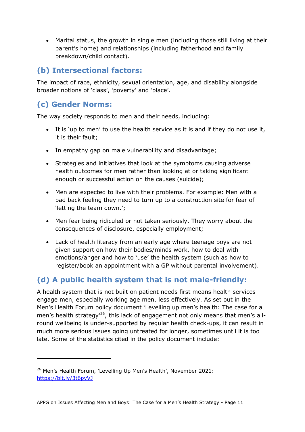Marital status, the growth in single men (including those still living at their parent's home) and relationships (including fatherhood and family breakdown/child contact).

### **(b) Intersectional factors:**

The impact of race, ethnicity, sexual orientation, age, and disability alongside broader notions of 'class', 'poverty' and 'place'.

### **(c) Gender Norms:**

-

The way society responds to men and their needs, including:

- It is 'up to men' to use the health service as it is and if they do not use it, it is their fault;
- In empathy gap on male vulnerability and disadvantage;
- Strategies and initiatives that look at the symptoms causing adverse health outcomes for men rather than looking at or taking significant enough or successful action on the causes (suicide);
- Men are expected to live with their problems. For example: Men with a bad back feeling they need to turn up to a construction site for fear of 'letting the team down.';
- Men fear being ridiculed or not taken seriously. They worry about the consequences of disclosure, especially employment;
- Lack of health literacy from an early age where teenage boys are not given support on how their bodies/minds work, how to deal with emotions/anger and how to 'use' the health system (such as how to register/book an appointment with a GP without parental involvement).

### **(d) A public health system that is not male-friendly:**

A health system that is not built on patient needs first means health services engage men, especially working age men, less effectively. As set out in the Men's Health Forum policy document 'Levelling up men's health: The case for a men's health strategy<sup>'26</sup>, this lack of engagement not only means that men's allround wellbeing is under-supported by regular health check-ups, it can result in much more serious issues going untreated for longer, sometimes until it is too late. Some of the statistics cited in the policy document include:

<sup>&</sup>lt;sup>26</sup> Men's Health Forum, 'Levelling Up Men's Health', November 2021: <https://bit.ly/3t6pvVJ>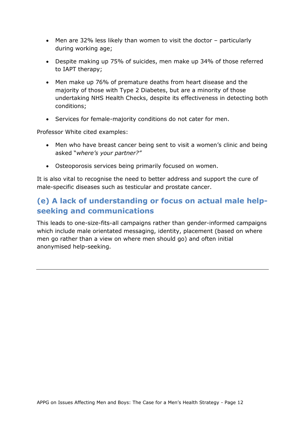- Men are 32% less likely than women to visit the doctor particularly during working age;
- Despite making up 75% of suicides, men make up 34% of those referred to IAPT therapy;
- Men make up 76% of premature deaths from heart disease and the majority of those with Type 2 Diabetes, but are a minority of those undertaking NHS Health Checks, despite its effectiveness in detecting both conditions;
- Services for female-majority conditions do not cater for men.

Professor White cited examples:

- Men who have breast cancer being sent to visit a women's clinic and being asked "*where's your partner?"*
- Osteoporosis services being primarily focused on women.

It is also vital to recognise the need to better address and support the cure of male-specific diseases such as testicular and prostate cancer.

### **(e) A lack of understanding or focus on actual male helpseeking and communications**

This leads to one-size-fits-all campaigns rather than gender-informed campaigns which include male orientated messaging, identity, placement (based on where men go rather than a view on where men should go) and often initial anonymised help-seeking.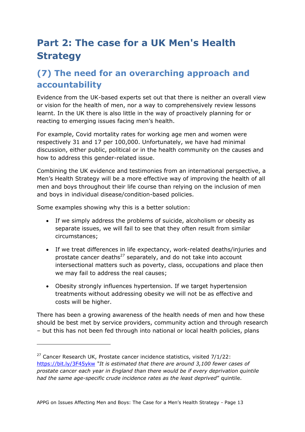# <span id="page-12-0"></span>**Part 2: The case for a UK Men's Health Strategy**

## <span id="page-12-1"></span>**(7) The need for an overarching approach and accountability**

Evidence from the UK-based experts set out that there is neither an overall view or vision for the health of men, nor a way to comprehensively review lessons learnt. In the UK there is also little in the way of proactively planning for or reacting to emerging issues facing men's health.

For example, Covid mortality rates for working age men and women were respectively 31 and 17 per 100,000. Unfortunately, we have had minimal discussion, either public, political or in the health community on the causes and how to address this gender-related issue.

Combining the UK evidence and testimonies from an international perspective, a Men's Health Strategy will be a more effective way of improving the health of all men and boys throughout their life course than relying on the inclusion of men and boys in individual disease/condition-based policies.

Some examples showing why this is a better solution:

-

- If we simply address the problems of suicide, alcoholism or obesity as separate issues, we will fail to see that they often result from similar circumstances;
- If we treat differences in life expectancy, work-related deaths/injuries and prostate cancer deaths $^{27}$  separately, and do not take into account intersectional matters such as poverty, class, occupations and place then we may fail to address the real causes;
- Obesity strongly influences hypertension. If we target hypertension treatments without addressing obesity we will not be as effective and costs will be higher.

There has been a growing awareness of the health needs of men and how these should be best met by service providers, community action and through research – but this has not been fed through into national or local health policies, plans

 $27$  Cancer Research UK, Prostate cancer incidence statistics, visited  $7/1/22$ : <https://bit.ly/3F45ykw> *"It is estimated that there are around 3,100 fewer cases of prostate cancer each year in England than there would be if every deprivation quintile had the same age-specific crude incidence rates as the least deprived*" quintile.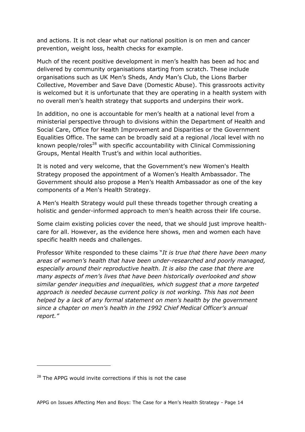and actions. It is not clear what our national position is on men and cancer prevention, weight loss, health checks for example.

Much of the recent positive development in men's health has been ad hoc and delivered by community organisations starting from scratch. These include organisations such as UK Men's Sheds, Andy Man's Club, the Lions Barber Collective, Movember and Save Dave (Domestic Abuse). This grassroots activity is welcomed but it is unfortunate that they are operating in a health system with no overall men's health strategy that supports and underpins their work.

In addition, no one is accountable for men's health at a national level from a ministerial perspective through to divisions within the Department of Health and Social Care, Office for Health Improvement and Disparities or the Government Equalities Office. The same can be broadly said at a regional /local level with no known people/roles<sup>28</sup> with specific accountability with Clinical Commissioning Groups, Mental Health Trust's and within local authorities.

It is noted and very welcome, that the Government's new Women's Health Strategy proposed the appointment of a Women's Health Ambassador. The Government should also propose a Men's Health Ambassador as one of the key components of a Men's Health Strategy.

A Men's Health Strategy would pull these threads together through creating a holistic and gender-informed approach to men's health across their life course.

Some claim existing policies cover the need, that we should just improve healthcare for all. However, as the evidence here shows, men and women each have specific health needs and challenges.

Professor White responded to these claims "*It is true that there have been many areas of women's health that have been under-researched and poorly managed, especially around their reproductive health. It is also the case that there are many aspects of men's lives that have been historically overlooked and show similar gender inequities and inequalities, which suggest that a more targeted approach is needed because current policy is not working. This has not been helped by a lack of any formal statement on men's health by the government since a chapter on men's health in the 1992 Chief Medical Officer's annual report."*

-

 $28$  The APPG would invite corrections if this is not the case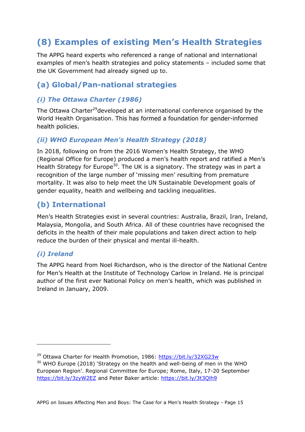# <span id="page-14-0"></span>**(8) Examples of existing Men's Health Strategies**

The APPG heard experts who referenced a range of national and international examples of men's health strategies and policy statements – included some that the UK Government had already signed up to.

#### **(a) Global/Pan-national strategies**

#### *(i) The Ottawa Charter (1986)*

The Ottawa Charter<sup>29</sup>developed at an international conference organised by the World Health Organisation. This has formed a foundation for gender-informed health policies.

#### *(ii) WHO European Men's Health Strategy (2018)*

In 2018, following on from the 2016 Women's Health Strategy, the WHO (Regional Office for Europe) produced a men's health report and ratified a Men's Health Strategy for Europe<sup>30</sup>. The UK is a signatory. The strategy was in part a recognition of the large number of 'missing men' resulting from premature mortality. It was also to help meet the UN Sustainable Development goals of gender equality, health and wellbeing and tackling inequalities.

#### **(b) International**

Men's Health Strategies exist in several countries: Australia, Brazil, Iran, Ireland, Malaysia, Mongolia, and South Africa. All of these countries have recognised the deficits in the health of their male populations and taken direct action to help reduce the burden of their physical and mental ill-health.

#### *(i) Ireland*

-

The APPG heard from Noel Richardson, who is the director of the National Centre for Men's Health at the Institute of Technology Carlow in Ireland. He is principal author of the first ever National Policy on men's health, which was published in Ireland in January, 2009.

<sup>29</sup> Ottawa Charter for Health Promotion, 1986:<https://bit.ly/32XG23w>

<sup>&</sup>lt;sup>30</sup> WHO Europe (2018) 'Strategy on the health and well-being of men in the WHO European Region'. Regional Committee for Europe; Rome, Italy, 17-20 September <https://bit.ly/3zyW2EZ> and Peter Baker article:<https://bit.ly/3t3Qlh9>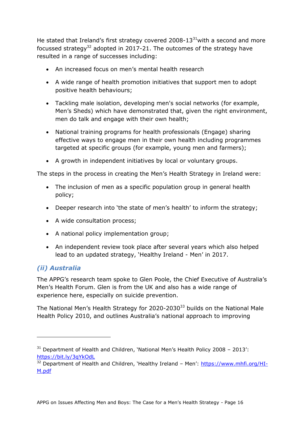He stated that Ireland's first strategy covered 2008-13 $31$ with a second and more focussed strategy<sup>32</sup> adopted in 2017-21. The outcomes of the strategy have resulted in a range of successes including:

- An increased focus on men's mental health research
- A wide range of health promotion initiatives that support men to adopt positive health behaviours;
- Tackling male isolation, developing men's social networks (for example, Men's Sheds) which have demonstrated that, given the right environment, men do talk and engage with their own health;
- National training programs for health professionals (Engage) sharing effective ways to engage men in their own health including programmes targeted at specific groups (for example, young men and farmers);
- A growth in independent initiatives by local or voluntary groups.

The steps in the process in creating the Men's Health Strategy in Ireland were:

- The inclusion of men as a specific population group in general health policy;
- Deeper research into 'the state of men's health' to inform the strategy;
- A wide consultation process;
- A national policy implementation group;
- An independent review took place after several years which also helped lead to an updated strategy, 'Healthy Ireland - Men' in 2017.

#### *(ii) Australia*

-

The APPG's research team spoke to Glen Poole, the Chief Executive of Australia's Men's Health Forum. Glen is from the UK and also has a wide range of experience here, especially on suicide prevention.

The National Men's Health Strategy for 2020-2030 $33$  builds on the National Male Health Policy 2010, and outlines Australia's national approach to improving

 $31$  Department of Health and Children, 'National Men's Health Policy 2008 - 2013': <https://bit.ly/3qYkOdL>

 $32$  Department of Health and Children, 'Healthy Ireland – Men': [https://www.mhfi.org/HI-](https://www.mhfi.org/HI-M.pdf)[M.pdf](https://www.mhfi.org/HI-M.pdf)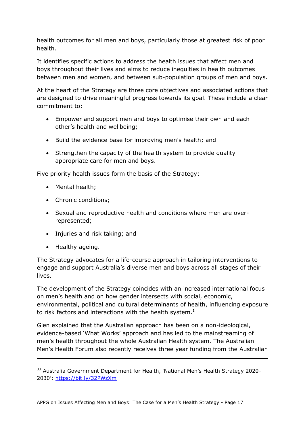health outcomes for all men and boys, particularly those at greatest risk of poor health.

It identifies specific actions to address the health issues that affect men and boys throughout their lives and aims to reduce inequities in health outcomes between men and women, and between sub-population groups of men and boys.

At the heart of the Strategy are three core objectives and associated actions that are designed to drive meaningful progress towards its goal. These include a clear commitment to:

- Empower and support men and boys to optimise their own and each other's health and wellbeing;
- Build the evidence base for improving men's health; and
- Strengthen the capacity of the health system to provide quality appropriate care for men and boys.

Five priority health issues form the basis of the Strategy:

- Mental health;
- Chronic conditions:
- Sexual and reproductive health and conditions where men are overrepresented;
- Injuries and risk taking; and
- Healthy ageing.

-

The Strategy advocates for a life-course approach in tailoring interventions to engage and support Australia's diverse men and boys across all stages of their lives.

The development of the Strategy coincides with an increased international focus on men's health and on how gender intersects with social, economic, environmental, political and cultural determinants of health, influencing exposure to risk factors and interactions with the health system. $1$ 

Glen explained that the Australian approach has been on a non-ideological, evidence-based 'What Works' approach and has led to the mainstreaming of men's health throughout the whole Australian Health system. The Australian Men's Health Forum also recently receives three year funding from the Australian

<sup>&</sup>lt;sup>33</sup> Australia Government Department for Health, 'National Men's Health Strategy 2020-2030': <https://bit.ly/32PWzXm>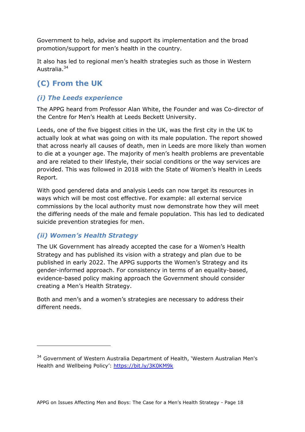Government to help, advise and support its implementation and the broad promotion/support for men's health in the country.

It also has led to regional men's health strategies such as those in Western Australia.<sup>34</sup>

### **(C) From the UK**

#### *(i) The Leeds experience*

The APPG heard from Professor Alan White, the Founder and was Co-director of the Centre for Men's Health at Leeds Beckett University.

Leeds, one of the five biggest cities in the UK, was the first city in the UK to actually look at what was going on with its male population. The report showed that across nearly all causes of death, men in Leeds are more likely than women to die at a younger age. The majority of men's health problems are preventable and are related to their lifestyle, their social conditions or the way services are provided. This was followed in 2018 with the State of Women's Health in Leeds Report.

With good gendered data and analysis Leeds can now target its resources in ways which will be most cost effective. For example: all external service commissions by the local authority must now demonstrate how they will meet the differing needs of the male and female population. This has led to dedicated suicide prevention strategies for men.

#### *(ii) Women's Health Strategy*

-

The UK Government has already accepted the case for a Women's Health Strategy and has published its vision with a strategy and plan due to be published in early 2022. The APPG supports the Women's Strategy and its gender-informed approach. For consistency in terms of an equality-based, evidence-based policy making approach the Government should consider creating a Men's Health Strategy.

Both and men's and a women's strategies are necessary to address their different needs.

<sup>&</sup>lt;sup>34</sup> Government of Western Australia Department of Health, 'Western Australian Men's Health and Wellbeing Policy':<https://bit.ly/3K0KM9k>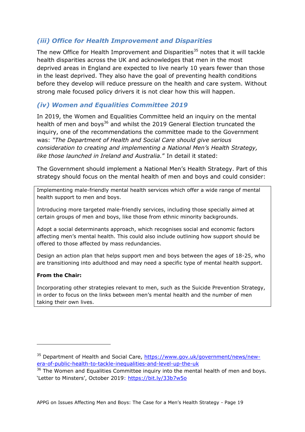#### *(iii) Office for Health Improvement and Disparities*

The new Office for Health Improvement and Disparities<sup>35</sup> notes that it will tackle health disparities across the UK and acknowledges that men in the most deprived areas in England are expected to live nearly 10 years fewer than those in the least deprived. They also have the goal of preventing health conditions before they develop will reduce pressure on the health and care system. Without strong male focused policy drivers it is not clear how this will happen.

#### *(iv) Women and Equalities Committee 2019*

In 2019, the Women and Equalities Committee held an inquiry on the mental health of men and boys<sup>36</sup> and whilst the 2019 General Election truncated the inquiry, one of the recommendations the committee made to the Government was: *"The Department of Health and Social Care should give serious consideration to creating and implementing a National Men's Health Strategy, like those launched in Ireland and Australia.*" In detail it stated:

The Government should implement a National Men's Health Strategy. Part of this strategy should focus on the mental health of men and boys and could consider:

Implementing male-friendly mental health services which offer a wide range of mental health support to men and boys.

Introducing more targeted male-friendly services, including those specially aimed at certain groups of men and boys, like those from ethnic minority backgrounds.

Adopt a social determinants approach, which recognises social and economic factors affecting men's mental health. This could also include outlining how support should be offered to those affected by mass redundancies.

Design an action plan that helps support men and boys between the ages of 18-25, who are transitioning into adulthood and may need a specific type of mental health support.

#### **From the Chair:**

-

Incorporating other strategies relevant to men, such as the Suicide Prevention Strategy, in order to focus on the links between men's mental health and the number of men taking their own lives.

<sup>&</sup>lt;sup>35</sup> Department of Health and Social Care, [https://www.gov.uk/government/news/new](https://www.gov.uk/government/news/new-era-of-public-health-to-tackle-inequalities-and-level-up-the-uk)[era-of-public-health-to-tackle-inequalities-and-level-up-the-uk](https://www.gov.uk/government/news/new-era-of-public-health-to-tackle-inequalities-and-level-up-the-uk)

<sup>&</sup>lt;sup>36</sup> The Women and Equalities Committee inquiry into the mental health of men and boys. 'Letter to Minsters', October 2019: https://bit.ly/33b7w5o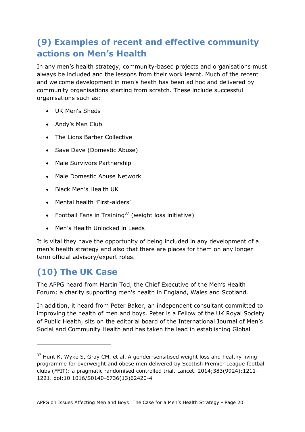# <span id="page-19-0"></span>**(9) Examples of recent and effective community actions on Men's Health**

In any men's health strategy, community-based projects and organisations must always be included and the lessons from their work learnt. Much of the recent and welcome development in men's heath has been ad hoc and delivered by community organisations starting from scratch. These include successful organisations such as:

- UK Men's Sheds
- Andy's Man Club
- The Lions Barber Collective
- Save Dave (Domestic Abuse)
- Male Survivors Partnership
- Male Domestic Abuse Network
- Black Men's Health UK
- Mental health 'First-aiders'
- Football Fans in Training<sup>37</sup> (weight loss initiative)
- Men's Health Unlocked in Leeds

It is vital they have the opportunity of being included in any development of a men's health strategy and also that there are places for them on any longer term official advisory/expert roles.

# <span id="page-19-1"></span>**(10) The UK Case**

-

The APPG heard from Martin Tod, the Chief Executive of the Men's Health Forum; a charity supporting men's health in England, Wales and Scotland.

In addition, it heard from Peter Baker, an independent consultant committed to improving the health of men and boys. Peter is a Fellow of the UK Royal Society of Public Health, sits on the editorial board of the International Journal of Men's Social and Community Health and has taken the lead in establishing Global

 $37$  Hunt K, Wyke S, Gray CM, et al. A gender-sensitised weight loss and healthy living programme for overweight and obese men delivered by Scottish Premier League football clubs (FFIT): a pragmatic randomised controlled trial. Lancet. 2014;383(9924):1211- 1221. doi:10.1016/S0140-6736(13)62420-4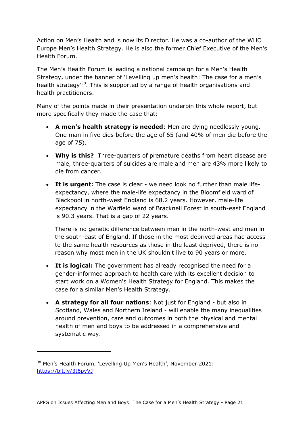Action on Men's Health and is now its Director. He was a co-author of the WHO Europe Men's Health Strategy. He is also the former Chief Executive of the Men's Health Forum.

The Men's Health Forum is leading a national campaign for a Men's Health Strategy, under the banner of 'Levelling up men's health: The case for a men's health strategy<sup>38</sup>. This is supported by a range of health organisations and health practitioners.

Many of the points made in their presentation underpin this whole report, but more specifically they made the case that:

- **A men's health strategy is needed**: Men are dying needlessly young. One man in five dies before the age of 65 (and 40% of men die before the age of 75).
- **Why is this?** Three-quarters of premature deaths from heart disease are male, three-quarters of suicides are male and men are 43% more likely to die from cancer.
- **It is urgent:** The case is clear we need look no further than male lifeexpectancy, where the male-life expectancy in the Bloomfield ward of Blackpool in north-west England is 68.2 years. However, male-life expectancy in the Warfield ward of Bracknell Forest in south-east England is 90.3 years. That is a gap of 22 years.

There is no genetic difference between men in the north-west and men in the south-east of England. If those in the most deprived areas had access to the same health resources as those in the least deprived, there is no reason why most men in the UK shouldn't live to 90 years or more.

- **It is logical:** The government has already recognised the need for a gender-informed approach to health care with its excellent decision to start work on a Women's Health Strategy for England. This makes the case for a similar Men's Health Strategy.
- **A strategy for all four nations**: Not just for England but also in Scotland, Wales and Northern Ireland - will enable the many inequalities around prevention, care and outcomes in both the physical and mental health of men and boys to be addressed in a comprehensive and systematic way.

-

<sup>&</sup>lt;sup>38</sup> Men's Health Forum, 'Levelling Up Men's Health', November 2021: <https://bit.ly/3t6pvVJ>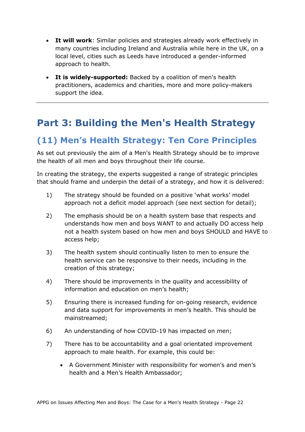- **It will work**: Similar policies and strategies already work effectively in many countries including Ireland and Australia while here in the UK, on a local level, cities such as Leeds have introduced a gender-informed approach to health.
- **It is widely-supported:** Backed by a coalition of men's health practitioners, academics and charities, more and more policy-makers support the idea.

# <span id="page-21-0"></span>**Part 3: Building the Men's Health Strategy**

### <span id="page-21-1"></span>**(11) Men's Health Strategy: Ten Core Principles**

As set out previously the aim of a Men's Health Strategy should be to improve the health of all men and boys throughout their life course.

In creating the strategy, the experts suggested a range of strategic principles that should frame and underpin the detail of a strategy, and how it is delivered:

- 1) The strategy should be founded on a positive 'what works' model approach not a deficit model approach (see next section for detail);
- 2) The emphasis should be on a health system base that respects and understands how men and boys WANT to and actually DO access help not a health system based on how men and boys SHOULD and HAVE to access help;
- 3) The health system should continually listen to men to ensure the health service can be responsive to their needs, including in the creation of this strategy;
- 4) There should be improvements in the quality and accessibility of information and education on men's health;
- 5) Ensuring there is increased funding for on-going research, evidence and data support for improvements in men's health. This should be mainstreamed;
- 6) An understanding of how COVID-19 has impacted on men;
- 7) There has to be accountability and a goal orientated improvement approach to male health. For example, this could be:
	- A Government Minister with responsibility for women's and men's health and a Men's Health Ambassador;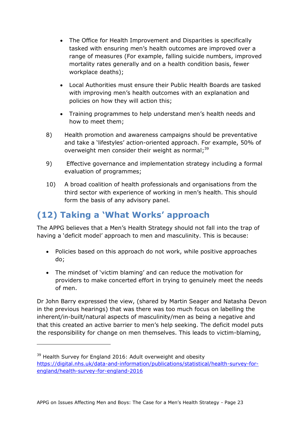- The Office for Health Improvement and Disparities is specifically tasked with ensuring men's health outcomes are improved over a range of measures (For example, falling suicide numbers, improved mortality rates generally and on a health condition basis, fewer workplace deaths);
- Local Authorities must ensure their Public Health Boards are tasked with improving men's health outcomes with an explanation and policies on how they will action this;
- Training programmes to help understand men's health needs and how to meet them;
- 8) Health promotion and awareness campaigns should be preventative and take a 'lifestyles' action-oriented approach. For example, 50% of overweight men consider their weight as normal;<sup>39</sup>
- 9) Effective governance and implementation strategy including a formal evaluation of programmes;
- 10) A broad coalition of health professionals and organisations from the third sector with experience of working in men's health. This should form the basis of any advisory panel.

## <span id="page-22-0"></span>**(12) Taking a 'What Works' approach**

-

The APPG believes that a Men's Health Strategy should not fall into the trap of having a 'deficit model' approach to men and masculinity. This is because:

- Policies based on this approach do not work, while positive approaches do;
- The mindset of 'victim blaming' and can reduce the motivation for providers to make concerted effort in trying to genuinely meet the needs of men.

Dr John Barry expressed the view, (shared by Martin Seager and Natasha Devon in the previous hearings) that was there was too much focus on labelling the inherent/in-built/natural aspects of masculinity/men as being a negative and that this created an active barrier to men's help seeking. The deficit model puts the responsibility for change on men themselves. This leads to victim-blaming,

<sup>&</sup>lt;sup>39</sup> Health Survey for England 2016: Adult overweight and obesity [https://digital.nhs.uk/data-and-information/publications/statistical/health-survey-for](https://digital.nhs.uk/data-and-information/publications/statistical/health-survey-for-england/health-survey-for-england-2016)[england/health-survey-for-england-2016](https://digital.nhs.uk/data-and-information/publications/statistical/health-survey-for-england/health-survey-for-england-2016)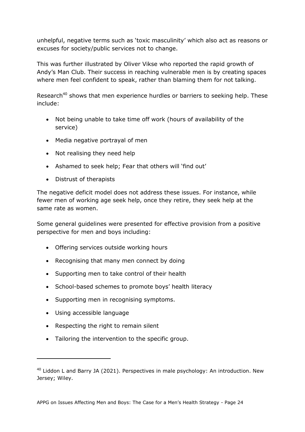unhelpful, negative terms such as 'toxic masculinity' which also act as reasons or excuses for society/public services not to change.

This was further illustrated by Oliver Vikse who reported the rapid growth of Andy's Man Club. Their success in reaching vulnerable men is by creating spaces where men feel confident to speak, rather than blaming them for not talking.

Research<sup>40</sup> shows that men experience hurdles or barriers to seeking help. These include:

- Not being unable to take time off work (hours of availability of the service)
- Media negative portrayal of men
- Not realising they need help
- Ashamed to seek help; Fear that others will 'find out'
- Distrust of therapists

The negative deficit model does not address these issues. For instance, while fewer men of working age seek help, once they retire, they seek help at the same rate as women.

Some general guidelines were presented for effective provision from a positive perspective for men and boys including:

- Offering services outside working hours
- Recognising that many men connect by doing
- Supporting men to take control of their health
- School-based schemes to promote boys' health literacy
- Supporting men in recognising symptoms.
- Using accessible language

-

- Respecting the right to remain silent
- Tailoring the intervention to the specific group.

 $40$  Liddon L and Barry JA (2021). Perspectives in male psychology: An introduction. New Jersey; Wiley.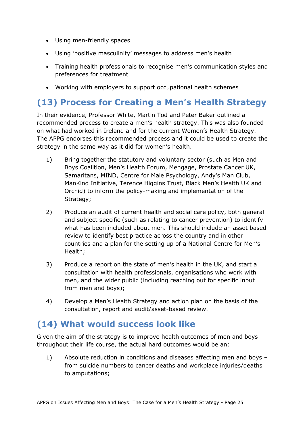- Using men-friendly spaces
- Using 'positive masculinity' messages to address men's health
- Training health professionals to recognise men's communication styles and preferences for treatment
- Working with employers to support occupational health schemes

### <span id="page-24-0"></span>**(13) Process for Creating a Men's Health Strategy**

In their evidence, Professor White, Martin Tod and Peter Baker outlined a recommended process to create a men's health strategy. This was also founded on what had worked in Ireland and for the current Women's Health Strategy. The APPG endorses this recommended process and it could be used to create the strategy in the same way as it did for women's health.

- 1) Bring together the statutory and voluntary sector (such as Men and Boys Coalition, Men's Health Forum, Mengage, Prostate Cancer UK, Samaritans, MIND, Centre for Male Psychology, Andy's Man Club, ManKind Initiative, Terence Higgins Trust, Black Men's Health UK and Orchid) to inform the policy-making and implementation of the Strategy;
- 2) Produce an audit of current health and social care policy, both general and subject specific (such as relating to cancer prevention) to identify what has been included about men. This should include an asset based review to identify best practice across the country and in other countries and a plan for the setting up of a National Centre for Men's Health;
- 3) Produce a report on the state of men's health in the UK, and start a consultation with health professionals, organisations who work with men, and the wider public (including reaching out for specific input from men and boys);
- 4) Develop a Men's Health Strategy and action plan on the basis of the consultation, report and audit/asset-based review.

### <span id="page-24-1"></span>**(14) What would success look like**

Given the aim of the strategy is to improve health outcomes of men and boys throughout their life course, the actual hard outcomes would be an:

1) Absolute reduction in conditions and diseases affecting men and boys – from suicide numbers to cancer deaths and workplace injuries/deaths to amputations;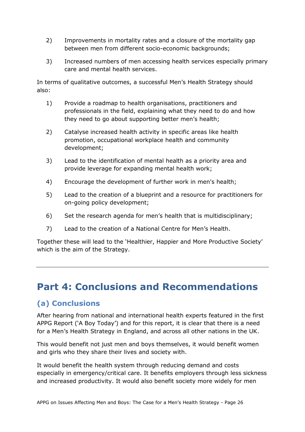- 2) Improvements in mortality rates and a closure of the mortality gap between men from different socio-economic backgrounds;
- 3) Increased numbers of men accessing health services especially primary care and mental health services.

In terms of qualitative outcomes, a successful Men's Health Strategy should also:

- 1) Provide a roadmap to health organisations, practitioners and professionals in the field, explaining what they need to do and how they need to go about supporting better men's health;
- 2) Catalyse increased health activity in specific areas like health promotion, occupational workplace health and community development;
- 3) Lead to the identification of mental health as a priority area and provide leverage for expanding mental health work;
- 4) Encourage the development of further work in men's health;
- 5) Lead to the creation of a blueprint and a resource for practitioners for on-going policy development;
- 6) Set the research agenda for men's health that is multidisciplinary;
- 7) Lead to the creation of a National Centre for Men's Health.

Together these will lead to the 'Healthier, Happier and More Productive Society' which is the aim of the Strategy.

# <span id="page-25-0"></span>**Part 4: Conclusions and Recommendations**

#### **(a) Conclusions**

After hearing from national and international health experts featured in the first APPG Report ('A Boy Today') and for this report, it is clear that there is a need for a Men's Health Strategy in England, and across all other nations in the UK.

This would benefit not just men and boys themselves, it would benefit women and girls who they share their lives and society with.

It would benefit the health system through reducing demand and costs especially in emergency/critical care. It benefits employers through less sickness and increased productivity. It would also benefit society more widely for men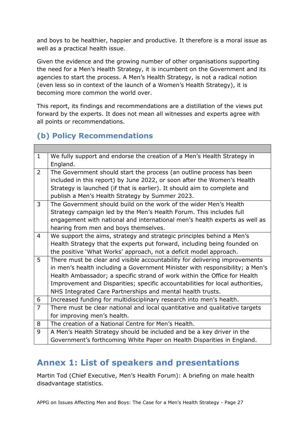and boys to be healthier, happier and productive. It therefore is a moral issue as well as a practical health issue.

Given the evidence and the growing number of other organisations supporting the need for a Men's Health Strategy, it is incumbent on the Government and its agencies to start the process. A Men's Health Strategy, is not a radical notion (even less so in context of the launch of a Women's Health Strategy), it is becoming more common the world over.

This report, its findings and recommendations are a distillation of the views put forward by the experts. It does not mean all witnesses and experts agree with all points or recommendations.

### **(b) Policy Recommendations**

| $\mathbf{1}$   | We fully support and endorse the creation of a Men's Health Strategy in       |  |
|----------------|-------------------------------------------------------------------------------|--|
|                | England.                                                                      |  |
| 2              | The Government should start the process (an outline process has been          |  |
|                | included in this report) by June 2022, or soon after the Women's Health       |  |
|                | Strategy is launched (if that is earlier). It should aim to complete and      |  |
|                | publish a Men's Health Strategy by Summer 2023.                               |  |
| 3              | The Government should build on the work of the wider Men's Health             |  |
|                | Strategy campaign led by the Men's Health Forum. This includes full           |  |
|                | engagement with national and international men's health experts as well as    |  |
|                | hearing from men and boys themselves.                                         |  |
| $\overline{4}$ | We support the aims, strategy and strategic principles behind a Men's         |  |
|                | Health Strategy that the experts put forward, including being founded on      |  |
|                | the positive 'What Works' approach, not a deficit model approach.             |  |
| 5              | There must be clear and visible accountability for delivering improvements    |  |
|                | in men's health including a Government Minister with responsibility; a Men's  |  |
|                | Health Ambassador; a specific strand of work within the Office for Health     |  |
|                | Improvement and Disparities; specific accountabilities for local authorities, |  |
|                | NHS Integrated Care Partnerships and mental health trusts.                    |  |
| 6              | Increased funding for multidisciplinary research into men's health.           |  |
| $\overline{7}$ | There must be clear national and local quantitative and qualitative targets   |  |
|                | for improving men's health.                                                   |  |
| 8              | The creation of a National Centre for Men's Health.                           |  |
| 9              | A Men's Health Strategy should be included and be a key driver in the         |  |
|                | Government's forthcoming White Paper on Health Disparities in England.        |  |
|                |                                                                               |  |

### <span id="page-26-0"></span>**Annex 1: List of speakers and presentations**

Martin Tod (Chief Executive, Men's Health Forum): A briefing on male health disadvantage statistics.